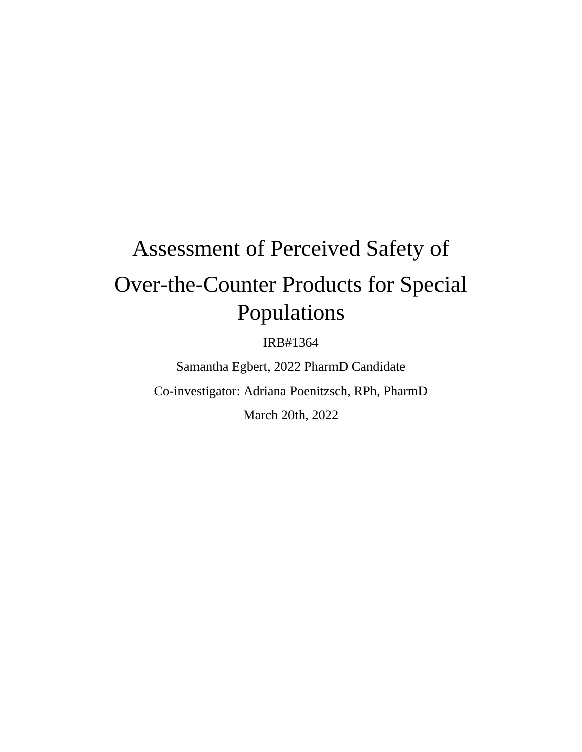# Assessment of Perceived Safety of Over-the-Counter Products for Special Populations

IRB#1364

Samantha Egbert, 2022 PharmD Candidate Co-investigator: Adriana Poenitzsch, RPh, PharmD March 20th, 2022